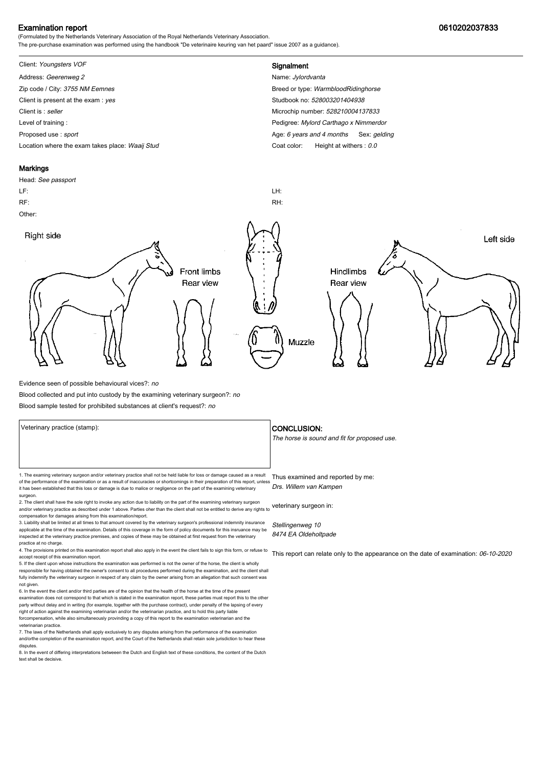### Examination report 0610202037833

(Formulated by the Netherlands Veterinary Association of the Royal Netherlands Veterinary Association. The pre-purchase examination was performed using the handbook "De veterinaire keuring van het paard" issue 2007 as a guidance).

# Client: Youngsters VOF **Signalment**

Address: Geerenweg 2 Name: Jylordvanta Zip code / City: 3755 NM Eemnes Breed or type: WarmbloodRidinghorse Client is present at the exam : yes Studbook no: 528003201404938 Client is : seller Microchip number: 528210004137833 Level of training : Pedigree: Mylord Carthago x Nimmerdor Proposed use : sport **Age: 6** years and 4 months Sex: gelding Location where the exam takes place: Waaij Stud Coat Color: Height at withers : 0.0

#### **Markings**

Head: See passport LF: LH: RF: RH: Other: Right side Left side **Front limbs** Hindlimbs Rear view Rear view Muzzle

Evidence seen of possible behavioural vices?: no

Blood collected and put into custody by the examining veterinary surgeon?: no

Blood sample tested for prohibited substances at client's request?: no

Veterinary practice (stamp):  $\overline{\phantom{a}}$  CONCLUSION: 1. The examing veterinary surgeon and/or veterinary practice shall not be held liable for loss or damage caused as a result Thus examined and reported by me: of the performance of the examination or as a result of inaccuracies or shortcomings in their preparation of this report, unless it has been established that this loss or damage is due to malice or negligence on the part of the examining veterinary surgeon. 2. The client shall have the sole right to invoke any action due to liability on the part of the examining veterinary surgeon and/or veterinary practice as described under 1 above. Parties oher than the client shall not be entitled to derive any rights to veterinary surgeon in: Drs. Willem van Kampen

compensation for damages arising from this examination/report. 3. Liability shall be limited at all times to that amount covered by the veterinary surgeon's professional indemnity insurance

applicable at the time of the examination. Details of this coverage in the form of policy documents for this insruance may be inspected at the veterinary practice premises, and copies of these may be obtained at first request from the veterinary practice at no charge.

4. The provisions printed on this examination report shall also apply in the event the client fails to sign this form, or refuse to accept receipt of this examination report. 5. If the client upon whose instructions the examination was performed is not the owner of the horse, the client is wholly

responsible for having obtained the owner's consent to all procedures performed during the examination, and the client shall fully indemnify the veterinary surgeon in respect of any claim by the owner arising from an allegation that such consent was not given.

6. In the event the client and/or third parties are of the opinion that the health of the horse at the time of the present examination does not correspond to that which is stated in the examination report, these parties must report this to the other party without delay and in writing (for example, together with the purchase contract), under penalty of the lapsing of every<br>right of action against the examining veterinarian and/or the veterinarian practice, and to hold forcompensation, while also simultaneously provinding a copy of this report to the examination veterinarian and th veterinarian practice.

7. The laws of the Netherlands shall apply exclusively to any disputes arising from the performance of the examination and/orthe completion of the examination report, and the Court of the Netherlands shall retain sole jurisdiction to hear these disputes.

8. In the event of differing interpretations betweeen the Dutch and English text of these conditions, the content of the Dutch text shall be decisive.

The horse is sound and fit for proposed use.

Stellingenweg 10 8474 EA Oldeholtpade

This report can relate only to the appearance on the date of examination: 06-10-2020